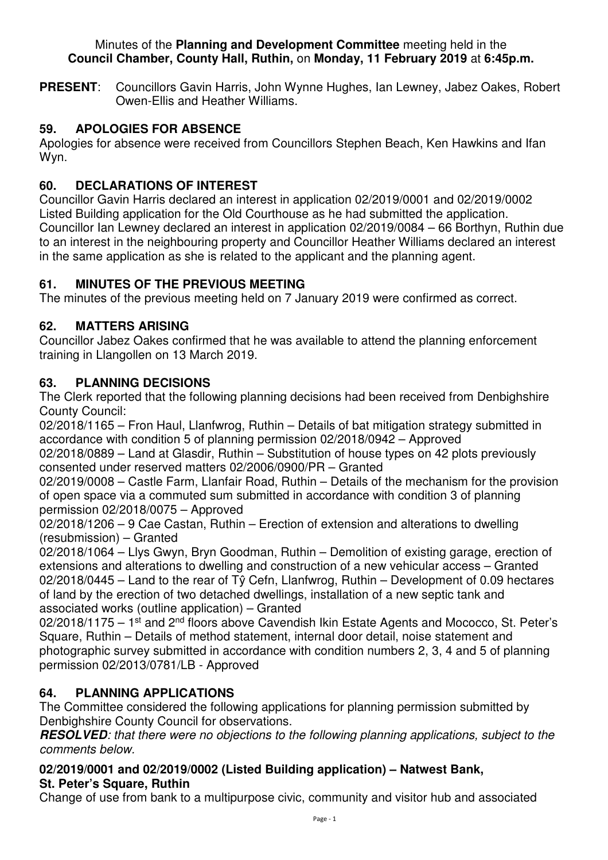#### Minutes of the **Planning and Development Committee** meeting held in the **Council Chamber, County Hall, Ruthin,** on **Monday, 11 February 2019** at **6:45p.m.**

**PRESENT**: Councillors Gavin Harris, John Wynne Hughes, Ian Lewney, Jabez Oakes, Robert Owen-Ellis and Heather Williams.

# **59. APOLOGIES FOR ABSENCE**

Apologies for absence were received from Councillors Stephen Beach, Ken Hawkins and Ifan Wyn.

# **60. DECLARATIONS OF INTEREST**

Councillor Gavin Harris declared an interest in application 02/2019/0001 and 02/2019/0002 Listed Building application for the Old Courthouse as he had submitted the application. Councillor Ian Lewney declared an interest in application 02/2019/0084 – 66 Borthyn, Ruthin due to an interest in the neighbouring property and Councillor Heather Williams declared an interest in the same application as she is related to the applicant and the planning agent.

### **61. MINUTES OF THE PREVIOUS MEETING**

The minutes of the previous meeting held on 7 January 2019 were confirmed as correct.

### **62. MATTERS ARISING**

Councillor Jabez Oakes confirmed that he was available to attend the planning enforcement training in Llangollen on 13 March 2019.

### **63. PLANNING DECISIONS**

The Clerk reported that the following planning decisions had been received from Denbighshire County Council:

02/2018/1165 – Fron Haul, Llanfwrog, Ruthin – Details of bat mitigation strategy submitted in accordance with condition 5 of planning permission 02/2018/0942 – Approved

02/2018/0889 – Land at Glasdir, Ruthin – Substitution of house types on 42 plots previously consented under reserved matters 02/2006/0900/PR – Granted

02/2019/0008 – Castle Farm, Llanfair Road, Ruthin – Details of the mechanism for the provision of open space via a commuted sum submitted in accordance with condition 3 of planning permission 02/2018/0075 – Approved

02/2018/1206 – 9 Cae Castan, Ruthin – Erection of extension and alterations to dwelling (resubmission) – Granted

02/2018/1064 – Llys Gwyn, Bryn Goodman, Ruthin – Demolition of existing garage, erection of extensions and alterations to dwelling and construction of a new vehicular access – Granted 02/2018/0445 – Land to the rear of Tŷ Cefn, Llanfwrog, Ruthin – Development of 0.09 hectares of land by the erection of two detached dwellings, installation of a new septic tank and associated works (outline application) – Granted

02/2018/1175 – 1<sup>st</sup> and 2<sup>nd</sup> floors above Cavendish Ikin Estate Agents and Mococco. St. Peter's Square, Ruthin – Details of method statement, internal door detail, noise statement and photographic survey submitted in accordance with condition numbers 2, 3, 4 and 5 of planning permission 02/2013/0781/LB - Approved

# **64. PLANNING APPLICATIONS**

The Committee considered the following applications for planning permission submitted by Denbighshire County Council for observations.

**RESOLVED***: that there were no objections to the following planning applications, subject to the comments below.* 

### **02/2019/0001 and 02/2019/0002 (Listed Building application) – Natwest Bank, St. Peter's Square, Ruthin**

Change of use from bank to a multipurpose civic, community and visitor hub and associated